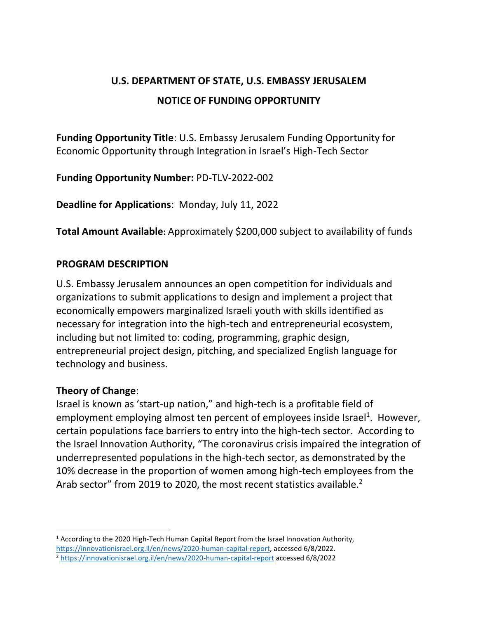# **U.S. DEPARTMENT OF STATE, U.S. EMBASSY JERUSALEM NOTICE OF FUNDING OPPORTUNITY**

**Funding Opportunity Title**: U.S. Embassy Jerusalem Funding Opportunity for Economic Opportunity through Integration in Israel's High-Tech Sector

**Funding Opportunity Number:** PD-TLV-2022-002

**Deadline for Applications**: Monday, July 11, 2022

**Total Amount Available:** Approximately \$200,000 subject to availability of funds

#### **PROGRAM DESCRIPTION**

U.S. Embassy Jerusalem announces an open competition for individuals and organizations to submit applications to design and implement a project that economically empowers marginalized Israeli youth with skills identified as necessary for integration into the high-tech and entrepreneurial ecosystem, including but not limited to: coding, programming, graphic design, entrepreneurial project design, pitching, and specialized English language for technology and business.

## **Theory of Change**:

Israel is known as 'start-up nation," and high-tech is a profitable field of employment employing almost ten percent of employees inside Israel<sup>1</sup>. However, certain populations face barriers to entry into the high-tech sector. According to the Israel Innovation Authority, "The coronavirus crisis impaired the integration of underrepresented populations in the high-tech sector, as demonstrated by the 10% decrease in the proportion of women among high-tech employees from the Arab sector" from 2019 to 2020, the most recent statistics available. $2$ 

 $1$  According to the 2020 High-Tech Human Capital Report from the Israel Innovation Authority, [https://innovationisrael.org.il/en/news/2020-human-capital-report,](https://innovationisrael.org.il/en/news/2020-human-capital-report) accessed 6/8/2022.

<sup>2</sup> <https://innovationisrael.org.il/en/news/2020-human-capital-report> accessed 6/8/2022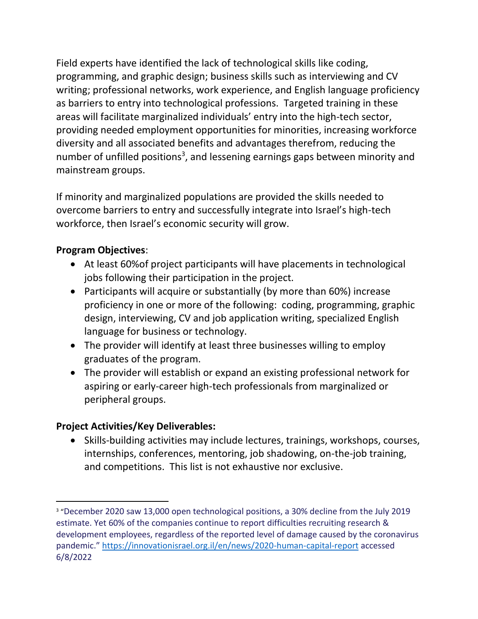Field experts have identified the lack of technological skills like coding, programming, and graphic design; business skills such as interviewing and CV writing; professional networks, work experience, and English language proficiency as barriers to entry into technological professions. Targeted training in these areas will facilitate marginalized individuals' entry into the high-tech sector, providing needed employment opportunities for minorities, increasing workforce diversity and all associated benefits and advantages therefrom, reducing the number of unfilled positions<sup>3</sup>, and lessening earnings gaps between minority and mainstream groups.

If minority and marginalized populations are provided the skills needed to overcome barriers to entry and successfully integrate into Israel's high-tech workforce, then Israel's economic security will grow.

## **Program Objectives**:

- At least 60%of project participants will have placements in technological jobs following their participation in the project.
- Participants will acquire or substantially (by more than 60%) increase proficiency in one or more of the following: coding, programming, graphic design, interviewing, CV and job application writing, specialized English language for business or technology.
- The provider will identify at least three businesses willing to employ graduates of the program.
- The provider will establish or expand an existing professional network for aspiring or early-career high-tech professionals from marginalized or peripheral groups.

## **Project Activities/Key Deliverables:**

• Skills-building activities may include lectures, trainings, workshops, courses, internships, conferences, mentoring, job shadowing, on-the-job training, and competitions. This list is not exhaustive nor exclusive.

<sup>&</sup>lt;sup>3</sup> "December 2020 saw 13,000 open technological positions, a 30% decline from the July 2019 estimate. Yet 60% of the companies continue to report difficulties recruiting research & development employees, regardless of the reported level of damage caused by the coronavirus pandemic." <https://innovationisrael.org.il/en/news/2020-human-capital-report> accessed 6/8/2022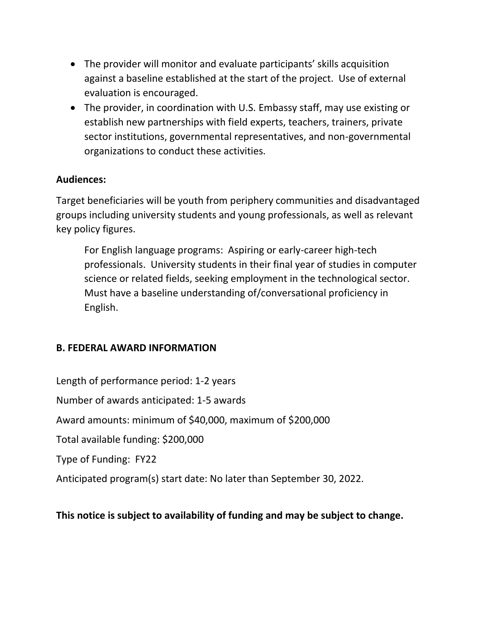- The provider will monitor and evaluate participants' skills acquisition against a baseline established at the start of the project. Use of external evaluation is encouraged.
- The provider, in coordination with U.S. Embassy staff, may use existing or establish new partnerships with field experts, teachers, trainers, private sector institutions, governmental representatives, and non-governmental organizations to conduct these activities.

## **Audiences:**

Target beneficiaries will be youth from periphery communities and disadvantaged groups including university students and young professionals, as well as relevant key policy figures.

For English language programs: Aspiring or early-career high-tech professionals. University students in their final year of studies in computer science or related fields, seeking employment in the technological sector. Must have a baseline understanding of/conversational proficiency in English.

## **B. FEDERAL AWARD INFORMATION**

Length of performance period: 1-2 years Number of awards anticipated: 1-5 awards Award amounts: minimum of \$40,000, maximum of \$200,000 Total available funding: \$200,000 Type of Funding: FY22 Anticipated program(s) start date: No later than September 30, 2022.

## **This notice is subject to availability of funding and may be subject to change.**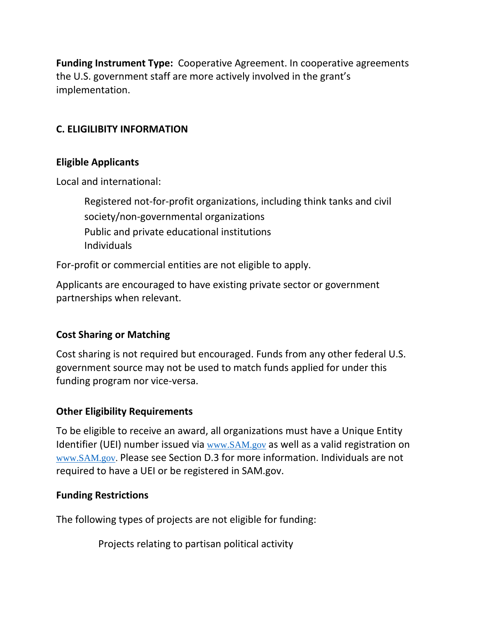**Funding Instrument Type:** Cooperative Agreement. In cooperative agreements the U.S. government staff are more actively involved in the grant's implementation.

## **C. ELIGILIBITY INFORMATION**

#### **Eligible Applicants**

Local and international:

Registered not-for-profit organizations, including think tanks and civil society/non-governmental organizations Public and private educational institutions Individuals

For-profit or commercial entities are not eligible to apply.

Applicants are encouraged to have existing private sector or government partnerships when relevant.

## **Cost Sharing or Matching**

Cost sharing is not required but encouraged. Funds from any other federal U.S. government source may not be used to match funds applied for under this funding program nor vice-versa.

## **Other Eligibility Requirements**

To be eligible to receive an award, all organizations must have a Unique Entity Identifier (UEI) number issued via [www.SAM.gov](http://www.sam.gov/) as well as a valid registration on [www.SAM.gov.](http://www.sam.gov/) Please see Section D.3 for more information. Individuals are not required to have a UEI or be registered in SAM.gov.

#### **Funding Restrictions**

The following types of projects are not eligible for funding:

Projects relating to partisan political activity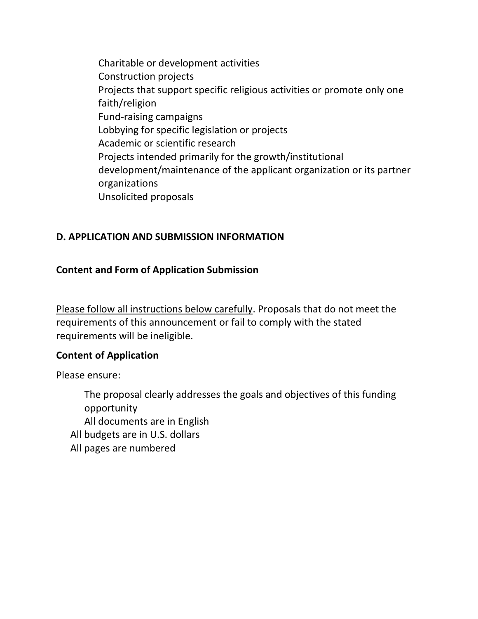Charitable or development activities Construction projects Projects that support specific religious activities or promote only one faith/religion Fund-raising campaigns Lobbying for specific legislation or projects Academic or scientific research Projects intended primarily for the growth/institutional development/maintenance of the applicant organization or its partner organizations Unsolicited proposals

## **D. APPLICATION AND SUBMISSION INFORMATION**

#### **Content and Form of Application Submission**

Please follow all instructions below carefully. Proposals that do not meet the requirements of this announcement or fail to comply with the stated requirements will be ineligible.

#### **Content of Application**

Please ensure:

The proposal clearly addresses the goals and objectives of this funding opportunity All documents are in English All budgets are in U.S. dollars All pages are numbered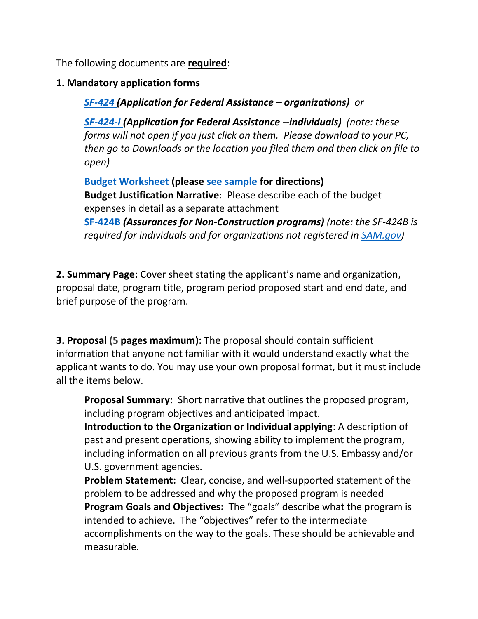The following documents are **required**:

## **1. Mandatory application forms**

*[SF-424](https://il.usembassy.gov/wp-content/uploads/sites/33/SF424_4_0-V4.0.pdf) (Application for Federal Assistance – organizations) or* 

*[SF-424-I](https://il.usembassy.gov/wp-content/uploads/sites/33/SF424_Individual_2_0-V2.0.pdf) (Application for Federal Assistance --individuals) (note: these forms will not open if you just click on them. Please download to your PC, then go to Downloads or the location you filed them and then click on file to open)*

**[Budget Worksheet](https://il.usembassy.gov/wp-content/uploads/sites/33/Budget-Worksheet-SE.xls) (please [see sample](https://il.usembassy.gov/wp-content/uploads/sites/33/Budget-Worksheet-for-grants-sample.xlsx) for directions) Budget Justification Narrative**: Please describe each of the budget expenses in detail as a separate attachment **[SF-424B](https://il.usembassy.gov/wp-content/uploads/sites/33/SF424B-V1.1-3.pdf)** *(Assurances for Non-Construction programs) (note: the SF-424B is required for individuals and for organizations not registered in [SAM.gov\)](https://sam.gov/)*

**2. Summary Page:** Cover sheet stating the applicant's name and organization, proposal date, program title, program period proposed start and end date, and brief purpose of the program.

**3. Proposal (5 pages maximum):** The proposal should contain sufficient information that anyone not familiar with it would understand exactly what the applicant wants to do. You may use your own proposal format, but it must include all the items below.

**Proposal Summary:** Short narrative that outlines the proposed program, including program objectives and anticipated impact.

**Introduction to the Organization or Individual applying**: A description of past and present operations, showing ability to implement the program, including information on all previous grants from the U.S. Embassy and/or U.S. government agencies.

**Problem Statement:** Clear, concise, and well-supported statement of the problem to be addressed and why the proposed program is needed **Program Goals and Objectives:** The "goals" describe what the program is intended to achieve. The "objectives" refer to the intermediate accomplishments on the way to the goals. These should be achievable and measurable.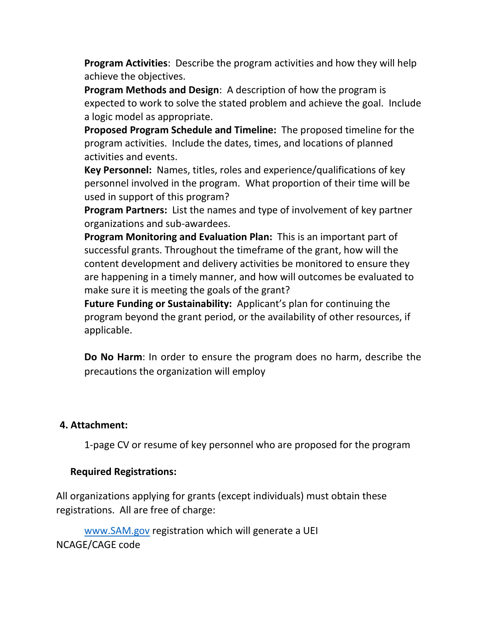**Program Activities**: Describe the program activities and how they will help achieve the objectives.

**Program Methods and Design**: A description of how the program is expected to work to solve the stated problem and achieve the goal. Include a logic model as appropriate.

**Proposed Program Schedule and Timeline:** The proposed timeline for the program activities. Include the dates, times, and locations of planned activities and events.

**Key Personnel:** Names, titles, roles and experience/qualifications of key personnel involved in the program. What proportion of their time will be used in support of this program?

**Program Partners:** List the names and type of involvement of key partner organizations and sub-awardees.

**Program Monitoring and Evaluation Plan:** This is an important part of successful grants. Throughout the timeframe of the grant, how will the content development and delivery activities be monitored to ensure they are happening in a timely manner, and how will outcomes be evaluated to make sure it is meeting the goals of the grant?

**Future Funding or Sustainability:** Applicant's plan for continuing the program beyond the grant period, or the availability of other resources, if applicable.

**Do No Harm**: In order to ensure the program does no harm, describe the precautions the organization will employ

#### **4. Attachment:**

1-page CV or resume of key personnel who are proposed for the program

#### **Required Registrations:**

All organizations applying for grants (except individuals) must obtain these registrations. All are free of charge:

[www.SAM.gov](https://gcc02.safelinks.protection.outlook.com/?url=http%3A%2F%2Fwww.sam.gov%2F&data=04%7C01%7Cfjeldkk%40state.gov%7C8a179f425ec644553b0a08da0c446ace%7C66cf50745afe48d1a691a12b2121f44b%7C0%7C0%7C637835785239027166%7CUnknown%7CTWFpbGZsb3d8eyJWIjoiMC4wLjAwMDAiLCJQIjoiV2luMzIiLCJBTiI6Ik1haWwiLCJXVCI6Mn0%3D%7C3000&sdata=1O%2BquRWkk5TWZ9R%2FzeWA%2BjVqSPwgts5FKs5lUXBCVGU%3D&reserved=0) registration which will generate a UEI NCAGE/CAGE code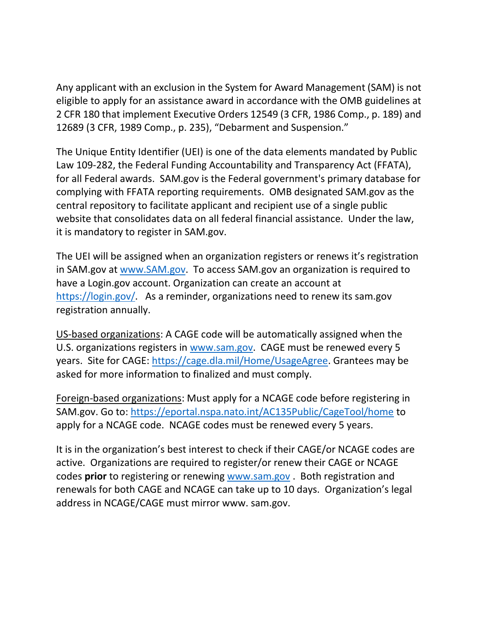Any applicant with an exclusion in the System for Award Management (SAM) is not eligible to apply for an assistance award in accordance with the OMB guidelines at 2 CFR 180 that implement Executive Orders 12549 (3 CFR, 1986 Comp., p. 189) and 12689 (3 CFR, 1989 Comp., p. 235), "Debarment and Suspension."

The Unique Entity Identifier (UEI) is one of the data elements mandated by Public Law 109-282, the Federal Funding Accountability and Transparency Act (FFATA), for all Federal awards. SAM.gov is the Federal government's primary database for complying with FFATA reporting requirements. OMB designated SAM.gov as the central repository to facilitate applicant and recipient use of a single public website that consolidates data on all federal financial assistance. Under the law, it is mandatory to register in SAM.gov.

The UEI will be assigned when an organization registers or renews it's registration in SAM.gov at [www.SAM.gov.](https://gcc02.safelinks.protection.outlook.com/?url=http%3A%2F%2Fwww.sam.gov%2F&data=04%7C01%7Cfjeldkk%40state.gov%7C8a179f425ec644553b0a08da0c446ace%7C66cf50745afe48d1a691a12b2121f44b%7C0%7C0%7C637835785239027166%7CUnknown%7CTWFpbGZsb3d8eyJWIjoiMC4wLjAwMDAiLCJQIjoiV2luMzIiLCJBTiI6Ik1haWwiLCJXVCI6Mn0%3D%7C3000&sdata=1O%2BquRWkk5TWZ9R%2FzeWA%2BjVqSPwgts5FKs5lUXBCVGU%3D&reserved=0) To access SAM.gov an organization is required to have a Login.gov account. Organization can create an account at [https://login.gov/.](https://gcc02.safelinks.protection.outlook.com/?url=https%3A%2F%2Flogin.gov%2F&data=04%7C01%7Cfjeldkk%40state.gov%7C8a179f425ec644553b0a08da0c446ace%7C66cf50745afe48d1a691a12b2121f44b%7C0%7C0%7C637835785239027166%7CUnknown%7CTWFpbGZsb3d8eyJWIjoiMC4wLjAwMDAiLCJQIjoiV2luMzIiLCJBTiI6Ik1haWwiLCJXVCI6Mn0%3D%7C3000&sdata=tZgLWndOJE4QfgsenOHTZxlAyGwD1%2FcsHk9zT0XqO9g%3D&reserved=0) As a reminder, organizations need to renew its sam.gov registration annually.

US-based organizations: A CAGE code will be automatically assigned when the U.S. organizations registers in [www.sam.gov.](https://gcc02.safelinks.protection.outlook.com/?url=http%3A%2F%2Fwww.sam.gov%2F&data=04%7C01%7Cfjeldkk%40state.gov%7C8a179f425ec644553b0a08da0c446ace%7C66cf50745afe48d1a691a12b2121f44b%7C0%7C0%7C637835785239027166%7CUnknown%7CTWFpbGZsb3d8eyJWIjoiMC4wLjAwMDAiLCJQIjoiV2luMzIiLCJBTiI6Ik1haWwiLCJXVCI6Mn0%3D%7C3000&sdata=1O%2BquRWkk5TWZ9R%2FzeWA%2BjVqSPwgts5FKs5lUXBCVGU%3D&reserved=0) CAGE must be renewed every 5 years. Site for CAGE: [https://cage.dla.mil/Home/UsageAgree.](https://gcc02.safelinks.protection.outlook.com/?url=https%3A%2F%2Fcage.dla.mil%2FHome%2FUsageAgree&data=04%7C01%7Cfjeldkk%40state.gov%7C8a179f425ec644553b0a08da0c446ace%7C66cf50745afe48d1a691a12b2121f44b%7C0%7C0%7C637835785239027166%7CUnknown%7CTWFpbGZsb3d8eyJWIjoiMC4wLjAwMDAiLCJQIjoiV2luMzIiLCJBTiI6Ik1haWwiLCJXVCI6Mn0%3D%7C3000&sdata=bFd%2Bl85kI4M5naGwjUh%2FT%2BhzzO9oM99ycJhXxaj8E0M%3D&reserved=0#_blank) Grantees may be asked for more information to finalized and must comply.

Foreign-based organizations: Must apply for a NCAGE code before registering in SAM.gov. Go to: [https://eportal.nspa.nato.int/AC135Public/CageTool/home](https://gcc02.safelinks.protection.outlook.com/?url=https%3A%2F%2Feportal.nspa.nato.int%2FAC135Public%2FCageTool%2Fhome&data=04%7C01%7Cfjeldkk%40state.gov%7C8a179f425ec644553b0a08da0c446ace%7C66cf50745afe48d1a691a12b2121f44b%7C0%7C0%7C637835785239027166%7CUnknown%7CTWFpbGZsb3d8eyJWIjoiMC4wLjAwMDAiLCJQIjoiV2luMzIiLCJBTiI6Ik1haWwiLCJXVCI6Mn0%3D%7C3000&sdata=%2BTHWRv0gnfDbegXazZ4K1%2FRbBP1LF6fHbu58wbsscVM%3D&reserved=0#_blank) to apply for a NCAGE code. NCAGE codes must be renewed every 5 years.

It is in the organization's best interest to check if their CAGE/or NCAGE codes are active. Organizations are required to register/or renew their CAGE or NCAGE codes **prior** to registering or renewing [www.sam.gov](https://gcc02.safelinks.protection.outlook.com/?url=http%3A%2F%2Fwww.sam.gov%2F&data=04%7C01%7Cfjeldkk%40state.gov%7C8a179f425ec644553b0a08da0c446ace%7C66cf50745afe48d1a691a12b2121f44b%7C0%7C0%7C637835785239027166%7CUnknown%7CTWFpbGZsb3d8eyJWIjoiMC4wLjAwMDAiLCJQIjoiV2luMzIiLCJBTiI6Ik1haWwiLCJXVCI6Mn0%3D%7C3000&sdata=1O%2BquRWkk5TWZ9R%2FzeWA%2BjVqSPwgts5FKs5lUXBCVGU%3D&reserved=0#_blank) . Both registration and renewals for both CAGE and NCAGE can take up to 10 days. Organization's legal address in NCAGE/CAGE must mirror www. sam.gov.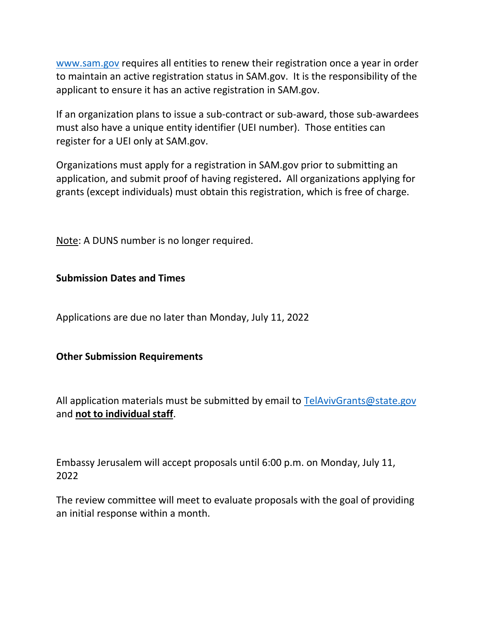[www.sam.gov](https://gcc02.safelinks.protection.outlook.com/?url=http%3A%2F%2Fwww.sam.gov%2F&data=04%7C01%7Cfjeldkk%40state.gov%7C8a179f425ec644553b0a08da0c446ace%7C66cf50745afe48d1a691a12b2121f44b%7C0%7C0%7C637835785239027166%7CUnknown%7CTWFpbGZsb3d8eyJWIjoiMC4wLjAwMDAiLCJQIjoiV2luMzIiLCJBTiI6Ik1haWwiLCJXVCI6Mn0%3D%7C3000&sdata=1O%2BquRWkk5TWZ9R%2FzeWA%2BjVqSPwgts5FKs5lUXBCVGU%3D&reserved=0#_blank) requires all entities to renew their registration once a year in order to maintain an active registration status in SAM.gov. It is the responsibility of the applicant to ensure it has an active registration in SAM.gov.

If an organization plans to issue a sub-contract or sub-award, those sub-awardees must also have a unique entity identifier (UEI number). Those entities can register for a UEI only at SAM.gov.

Organizations must apply for a registration in SAM.gov prior to submitting an application, and submit proof of having registered**.** All organizations applying for grants (except individuals) must obtain this registration, which is free of charge.

Note: A DUNS number is no longer required.

#### **Submission Dates and Times**

Applications are due no later than Monday, July 11, 2022

#### **Other Submission Requirements**

All application materials must be submitted by email to [TelAvivGrants@state.gov](mailto:TelAvivGrants@state.gov) and **not to individual staff**.

Embassy Jerusalem will accept proposals until 6:00 p.m. on Monday, July 11, 2022

The review committee will meet to evaluate proposals with the goal of providing an initial response within a month.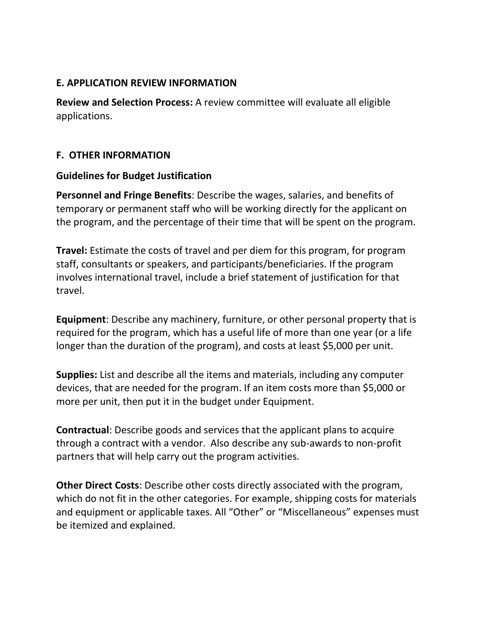#### **E. APPLICATION REVIEW INFORMATION**

**Review and Selection Process:** A review committee will evaluate all eligible applications.

#### **F. OTHER INFORMATION**

#### **Guidelines for Budget Justification**

**Personnel and Fringe Benefits**: Describe the wages, salaries, and benefits of temporary or permanent staff who will be working directly for the applicant on the program, and the percentage of their time that will be spent on the program.

**Travel:** Estimate the costs of travel and per diem for this program, for program staff, consultants or speakers, and participants/beneficiaries. If the program involves international travel, include a brief statement of justification for that travel.

**Equipment**: Describe any machinery, furniture, or other personal property that is required for the program, which has a useful life of more than one year (or a life longer than the duration of the program), and costs at least \$5,000 per unit.

**Supplies:** List and describe all the items and materials, including any computer devices, that are needed for the program. If an item costs more than \$5,000 or more per unit, then put it in the budget under Equipment.

**Contractual**: Describe goods and services that the applicant plans to acquire through a contract with a vendor. Also describe any sub-awards to non-profit partners that will help carry out the program activities.

**Other Direct Costs**: Describe other costs directly associated with the program, which do not fit in the other categories. For example, shipping costs for materials and equipment or applicable taxes. All "Other" or "Miscellaneous" expenses must be itemized and explained.